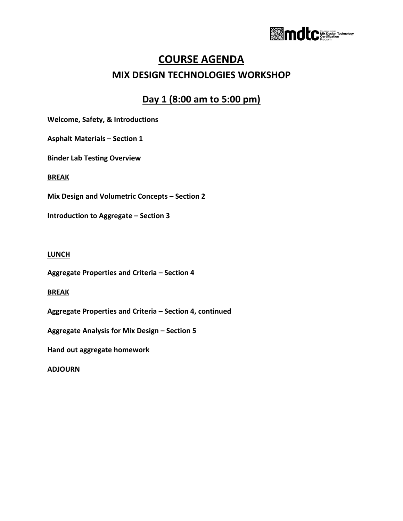

# **COURSE AGENDA MIX DESIGN TECHNOLOGIES WORKSHOP**

## **Day 1 (8:00 am to 5:00 pm)**

**Welcome, Safety, & Introductions** 

**Asphalt Materials – Section 1**

**Binder Lab Testing Overview**

#### **BREAK**

**Mix Design and Volumetric Concepts – Section 2**

**Introduction to Aggregate – Section 3**

#### **LUNCH**

**Aggregate Properties and Criteria – Section 4**

#### **BREAK**

**Aggregate Properties and Criteria – Section 4, continued**

**Aggregate Analysis for Mix Design – Section 5** 

**Hand out aggregate homework**

#### **ADJOURN**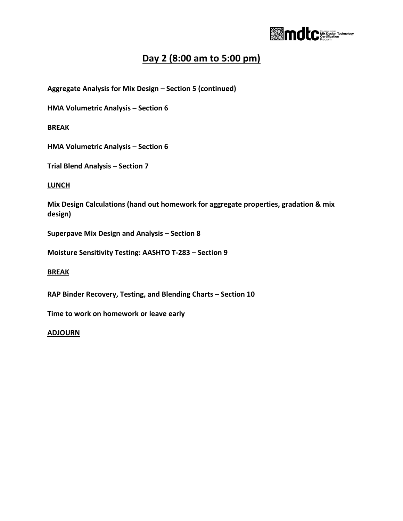

### **Day 2 (8:00 am to 5:00 pm)**

**Aggregate Analysis for Mix Design – Section 5 (continued)**

**HMA Volumetric Analysis – Section 6** 

**BREAK**

**HMA Volumetric Analysis – Section 6** 

**Trial Blend Analysis – Section 7**

**LUNCH**

**Mix Design Calculations (hand out homework for aggregate properties, gradation & mix design)**

**Superpave Mix Design and Analysis – Section 8**

**Moisture Sensitivity Testing: AASHTO T-283 – Section 9**

#### **BREAK**

**RAP Binder Recovery, Testing, and Blending Charts – Section 10**

**Time to work on homework or leave early**

#### **ADJOURN**